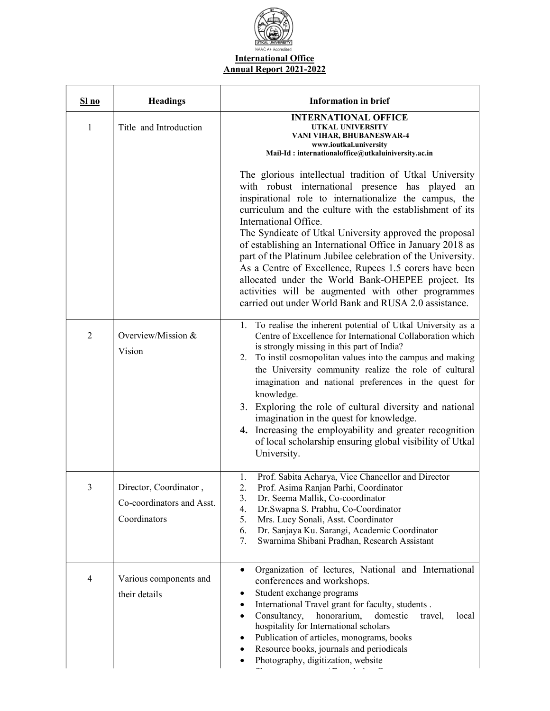

| S1 no          | <b>Headings</b>                                                     | <b>Information in brief</b>                                                                                                                                                                                                                                                                                                                                                                                                                                                                                                                                                                                                                                                                                                                                                                                                                        |
|----------------|---------------------------------------------------------------------|----------------------------------------------------------------------------------------------------------------------------------------------------------------------------------------------------------------------------------------------------------------------------------------------------------------------------------------------------------------------------------------------------------------------------------------------------------------------------------------------------------------------------------------------------------------------------------------------------------------------------------------------------------------------------------------------------------------------------------------------------------------------------------------------------------------------------------------------------|
| 1              | Title and Introduction                                              | <b>INTERNATIONAL OFFICE</b><br>UTKAL UNIVERSITY<br>VANI VIHAR, BHUBANESWAR-4<br>www.ioutkal.university<br>Mail-Id: internationaloffice@utkaluiniversity.ac.in<br>The glorious intellectual tradition of Utkal University<br>with robust international presence has played an<br>inspirational role to internationalize the campus, the<br>curriculum and the culture with the establishment of its<br>International Office.<br>The Syndicate of Utkal University approved the proposal<br>of establishing an International Office in January 2018 as<br>part of the Platinum Jubilee celebration of the University.<br>As a Centre of Excellence, Rupees 1.5 corers have been<br>allocated under the World Bank-OHEPEE project. Its<br>activities will be augmented with other programmes<br>carried out under World Bank and RUSA 2.0 assistance. |
| $\overline{2}$ | Overview/Mission &<br>Vision                                        | 1. To realise the inherent potential of Utkal University as a<br>Centre of Excellence for International Collaboration which<br>is strongly missing in this part of India?<br>2. To instil cosmopolitan values into the campus and making<br>the University community realize the role of cultural<br>imagination and national preferences in the quest for<br>knowledge.<br>3. Exploring the role of cultural diversity and national<br>imagination in the quest for knowledge.<br>4. Increasing the employability and greater recognition<br>of local scholarship ensuring global visibility of Utkal<br>University.                                                                                                                                                                                                                              |
| 3              | Director, Coordinator,<br>Co-coordinators and Asst.<br>Coordinators | Prof. Sabita Acharya, Vice Chancellor and Director<br>Prof. Asima Ranjan Parhi, Coordinator<br>Dr. Seema Mallik, Co-coordinator<br>3.<br>Dr. Swapna S. Prabhu, Co-Coordinator<br>4.<br>5.<br>Mrs. Lucy Sonali, Asst. Coordinator<br>Dr. Sanjaya Ku. Sarangi, Academic Coordinator<br>6.<br>Swarnima Shibani Pradhan, Research Assistant<br>7.                                                                                                                                                                                                                                                                                                                                                                                                                                                                                                      |
| 4              | Various components and<br>their details                             | Organization of lectures, National and International<br>$\bullet$<br>conferences and workshops.<br>Student exchange programs<br>٠<br>International Travel grant for faculty, students.<br>٠<br>Consultancy,<br>honorarium,<br>domestic<br>travel,<br>local<br>٠<br>hospitality for International scholars<br>Publication of articles, monograms, books<br>Resource books, journals and periodicals<br>Photography, digitization, website                                                                                                                                                                                                                                                                                                                                                                                                           |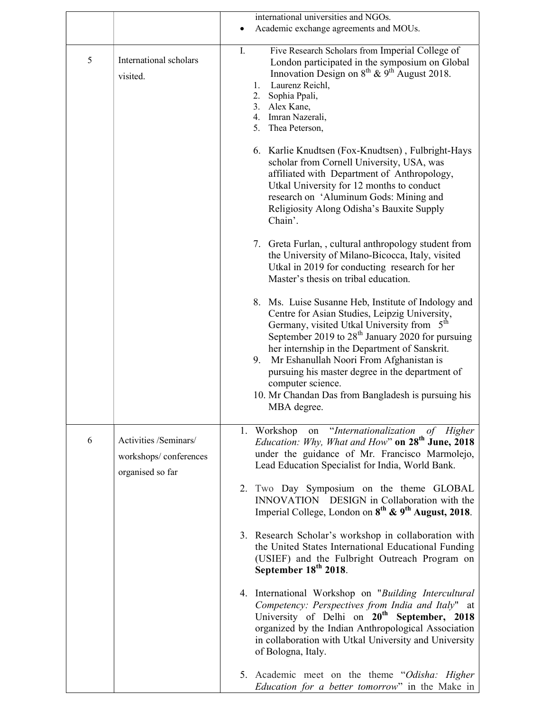|   |                                                                    | international universities and NGOs.                                                                                                                                                                                                                                                                                                                                                                                                                                                                                                                                                                                                                                                                                                                                                                                                                 |
|---|--------------------------------------------------------------------|------------------------------------------------------------------------------------------------------------------------------------------------------------------------------------------------------------------------------------------------------------------------------------------------------------------------------------------------------------------------------------------------------------------------------------------------------------------------------------------------------------------------------------------------------------------------------------------------------------------------------------------------------------------------------------------------------------------------------------------------------------------------------------------------------------------------------------------------------|
|   |                                                                    | Academic exchange agreements and MOUs.                                                                                                                                                                                                                                                                                                                                                                                                                                                                                                                                                                                                                                                                                                                                                                                                               |
| 5 | International scholars<br>visited.                                 | Five Research Scholars from Imperial College of<br>I.<br>London participated in the symposium on Global<br>Innovation Design on $8^{th}$ & $9^{th}$ August 2018.<br>Laurenz Reichl,<br>$1_{\cdot}$<br>2.<br>Sophia Ppali,<br>3. Alex Kane,<br>4. Imran Nazerali,<br>5.<br>Thea Peterson,<br>6. Karlie Knudtsen (Fox-Knudtsen), Fulbright-Hays<br>scholar from Cornell University, USA, was<br>affiliated with Department of Anthropology,<br>Utkal University for 12 months to conduct<br>research on 'Aluminum Gods: Mining and<br>Religiosity Along Odisha's Bauxite Supply<br>Chain'.<br>7. Greta Furlan,, cultural anthropology student from<br>the University of Milano-Bicocca, Italy, visited<br>Utkal in 2019 for conducting research for her<br>Master's thesis on tribal education.<br>8. Ms. Luise Susanne Heb, Institute of Indology and |
|   |                                                                    | Centre for Asian Studies, Leipzig University,<br>Germany, visited Utkal University from 5 <sup>th</sup><br>September 2019 to 28 <sup>th</sup> January 2020 for pursuing<br>her internship in the Department of Sanskrit.<br>Mr Eshanullah Noori From Afghanistan is<br>9.<br>pursuing his master degree in the department of<br>computer science.<br>10. Mr Chandan Das from Bangladesh is pursuing his<br>MBA degree.                                                                                                                                                                                                                                                                                                                                                                                                                               |
| 6 | Activities /Seminars/<br>workshops/conferences<br>organised so far | 1. Workshop on "Internationalization of Higher<br>Education: Why, What and How" on 28 <sup>th</sup> June, 2018<br>under the guidance of Mr. Francisco Marmolejo,<br>Lead Education Specialist for India, World Bank.<br>2. Two Day Symposium on the theme GLOBAL<br>INNOVATION DESIGN in Collaboration with the<br>Imperial College, London on 8 <sup>th</sup> & 9 <sup>th</sup> August, 2018.                                                                                                                                                                                                                                                                                                                                                                                                                                                       |
|   |                                                                    | 3. Research Scholar's workshop in collaboration with<br>the United States International Educational Funding<br>(USIEF) and the Fulbright Outreach Program on<br>September 18 <sup>th</sup> 2018.                                                                                                                                                                                                                                                                                                                                                                                                                                                                                                                                                                                                                                                     |
|   |                                                                    | 4. International Workshop on "Building Intercultural<br>Competency: Perspectives from India and Italy" at<br>University of Delhi on 20 <sup>th</sup> September, 2018<br>organized by the Indian Anthropological Association<br>in collaboration with Utkal University and University<br>of Bologna, Italy.                                                                                                                                                                                                                                                                                                                                                                                                                                                                                                                                           |
|   |                                                                    | 5. Academic meet on the theme "Odisha: Higher<br><i>Education for a better tomorrow</i> " in the Make in                                                                                                                                                                                                                                                                                                                                                                                                                                                                                                                                                                                                                                                                                                                                             |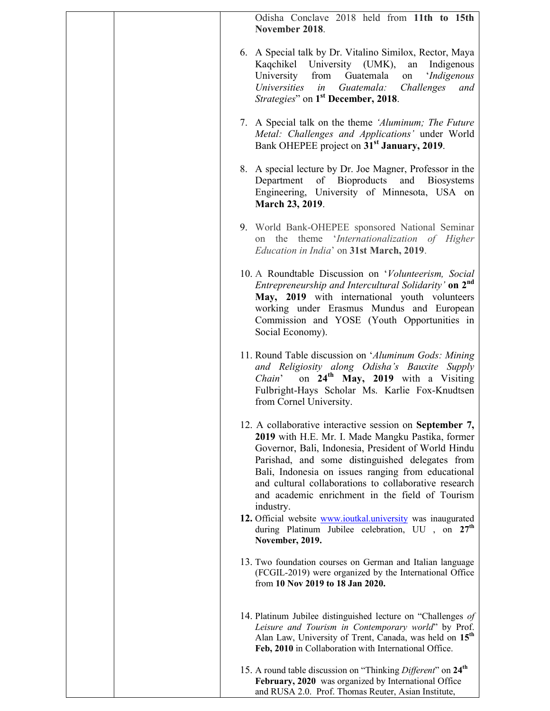| Odisha Conclave 2018 held from 11th to 15th<br>November 2018.                                                                                                                                                                                                                                                                                                                                                                                                               |
|-----------------------------------------------------------------------------------------------------------------------------------------------------------------------------------------------------------------------------------------------------------------------------------------------------------------------------------------------------------------------------------------------------------------------------------------------------------------------------|
| 6. A Special talk by Dr. Vitalino Similox, Rector, Maya<br>Kaqchikel University (UMK),<br>Indigenous<br>an<br>Guatemala<br>'Indigenous<br>University<br>from<br>on<br>Universities<br>Guatemala:<br>Challenges<br>in<br>and<br><i>Strategies</i> " on 1 <sup>st</sup> December, 2018.                                                                                                                                                                                       |
| 7. A Special talk on the theme 'Aluminum; The Future<br>Metal: Challenges and Applications' under World<br>Bank OHEPEE project on 31 <sup>st</sup> January, 2019.                                                                                                                                                                                                                                                                                                           |
| 8. A special lecture by Dr. Joe Magner, Professor in the<br>of Bioproducts<br>Department<br>and<br><b>Biosystems</b><br>Engineering, University of Minnesota, USA on<br>March 23, 2019.                                                                                                                                                                                                                                                                                     |
| 9. World Bank-OHEPEE sponsored National Seminar<br>on the theme 'Internationalization of Higher<br>Education in India' on 31st March, 2019.                                                                                                                                                                                                                                                                                                                                 |
| 10. A Roundtable Discussion on 'Volunteerism, Social<br>Entrepreneurship and Intercultural Solidarity' on 2 <sup>nd</sup><br>May, 2019 with international youth volunteers<br>working under Erasmus Mundus and European<br>Commission and YOSE (Youth Opportunities in<br>Social Economy).                                                                                                                                                                                  |
| 11. Round Table discussion on 'Aluminum Gods: Mining<br>and Religiosity along Odisha's Bauxite Supply<br>on 24 <sup>th</sup> May, 2019 with a Visiting<br>Chain'<br>Fulbright-Hays Scholar Ms. Karlie Fox-Knudtsen<br>from Cornel University.                                                                                                                                                                                                                               |
| 12. A collaborative interactive session on September 7,<br>2019 with H.E. Mr. I. Made Mangku Pastika, former<br>Governor, Bali, Indonesia, President of World Hindu<br>Parishad, and some distinguished delegates from<br>Bali, Indonesia on issues ranging from educational<br>and cultural collaborations to collaborative research<br>and academic enrichment in the field of Tourism<br>industry.<br>12. Official website <b>www.ioutkal.university</b> was inaugurated |
| during Platinum Jubilee celebration, UU , on 27 <sup>th</sup><br>November, 2019.                                                                                                                                                                                                                                                                                                                                                                                            |
| 13. Two foundation courses on German and Italian language<br>(FCGIL-2019) were organized by the International Office<br>from 10 Nov 2019 to 18 Jan 2020.                                                                                                                                                                                                                                                                                                                    |
| 14. Platinum Jubilee distinguished lecture on "Challenges of<br>Leisure and Tourism in Contemporary world" by Prof.<br>Alan Law, University of Trent, Canada, was held on 15 <sup>th</sup><br>Feb, 2010 in Collaboration with International Office.                                                                                                                                                                                                                         |
| 15. A round table discussion on "Thinking Different" on 24 <sup>th</sup><br>February, 2020 was organized by International Office<br>and RUSA 2.0. Prof. Thomas Reuter, Asian Institute,                                                                                                                                                                                                                                                                                     |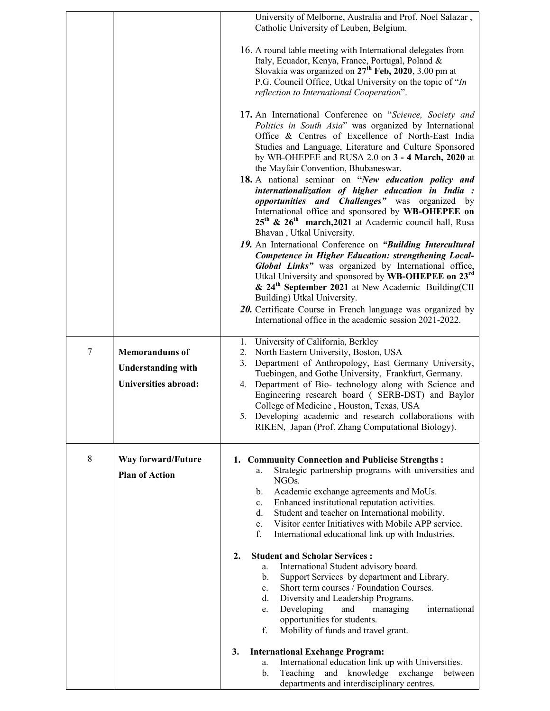|        |                                                    | University of Melborne, Australia and Prof. Noel Salazar,<br>Catholic University of Leuben, Belgium.                                                                                                                                                                                                                                                                                                                                      |
|--------|----------------------------------------------------|-------------------------------------------------------------------------------------------------------------------------------------------------------------------------------------------------------------------------------------------------------------------------------------------------------------------------------------------------------------------------------------------------------------------------------------------|
|        |                                                    | 16. A round table meeting with International delegates from<br>Italy, Ecuador, Kenya, France, Portugal, Poland &<br>Slovakia was organized on $27th$ Feb, 2020, 3.00 pm at<br>P.G. Council Office, Utkal University on the topic of "In<br>reflection to International Cooperation".                                                                                                                                                      |
|        |                                                    | 17. An International Conference on "Science, Society and<br>Politics in South Asia" was organized by International<br>Office & Centres of Excellence of North-East India<br>Studies and Language, Literature and Culture Sponsored<br>by WB-OHEPEE and RUSA 2.0 on 3 - 4 March, 2020 at<br>the Mayfair Convention, Bhubaneswar.                                                                                                           |
|        |                                                    | 18. A national seminar on "New education policy and<br>internationalization of higher education in India :<br>opportunities and Challenges" was organized by<br>International office and sponsored by WB-OHEPEE on<br>25 <sup>th</sup> & 26 <sup>th</sup> march, 2021 at Academic council hall, Rusa<br>Bhavan, Utkal University.                                                                                                         |
|        |                                                    | 19. An International Conference on "Building Intercultural<br>Competence in Higher Education: strengthening Local-<br>Global Links" was organized by International office,<br>Utkal University and sponsored by WB-OHEPEE on 23rd<br>& 24 <sup>th</sup> September 2021 at New Academic Building(CII<br>Building) Utkal University.<br>20. Certificate Course in French language was organized by                                          |
|        |                                                    | International office in the academic session 2021-2022.<br>University of California, Berkley<br>1.                                                                                                                                                                                                                                                                                                                                        |
| $\tau$ | <b>Memorandums</b> of<br><b>Understanding with</b> | North Eastern University, Boston, USA<br>2.<br>Department of Anthropology, East Germany University,<br>3.<br>Tuebingen, and Gothe University, Frankfurt, Germany.                                                                                                                                                                                                                                                                         |
|        | <b>Universities abroad:</b>                        | 4. Department of Bio- technology along with Science and<br>Engineering research board (SERB-DST) and Baylor<br>College of Medicine, Houston, Texas, USA<br>5. Developing academic and research collaborations with<br>RIKEN, Japan (Prof. Zhang Computational Biology).                                                                                                                                                                   |
| 8      | Way forward/Future<br><b>Plan of Action</b>        | 1. Community Connection and Publicise Strengths :<br>Strategic partnership programs with universities and<br>a.<br>NGO <sub>s</sub> .<br>Academic exchange agreements and MoUs.<br>$\mathbf{b}$ .<br>Enhanced institutional reputation activities.<br>c.<br>d.<br>Student and teacher on International mobility.<br>Visitor center Initiatives with Mobile APP service.<br>e.<br>f.<br>International educational link up with Industries. |
|        |                                                    | $\overline{2}$ .<br><b>Student and Scholar Services:</b><br>International Student advisory board.<br>a.<br>Support Services by department and Library.<br>b.<br>Short term courses / Foundation Courses.<br>$\mathbf{c}$ .<br>Diversity and Leadership Programs.<br>d.<br>Developing<br>and<br>international<br>managing<br>e.<br>opportunities for students.<br>f.<br>Mobility of funds and travel grant.                                |
|        |                                                    | 3.<br><b>International Exchange Program:</b><br>International education link up with Universities.<br>a.<br>and knowledge exchange<br>b.<br>Teaching<br>between<br>departments and interdisciplinary centres.                                                                                                                                                                                                                             |